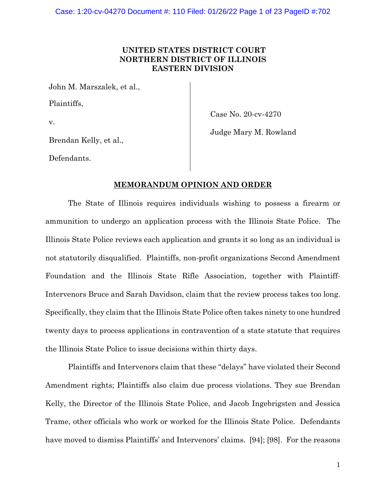# **UNITED STATES DISTRICT COURT NORTHERN DISTRICT OF ILLINOIS EASTERN DIVISION**

John M. Marszalek, et al.,

Plaintiffs,

v.

Case No. 20-cv-4270

Brendan Kelly, et al.,

Judge Mary M. Rowland

Defendants.

# **MEMORANDUM OPINION AND ORDER**

The State of Illinois requires individuals wishing to possess a firearm or ammunition to undergo an application process with the Illinois State Police. The Illinois State Police reviews each application and grants it so long as an individual is not statutorily disqualified. Plaintiffs, non-profit organizations Second Amendment Foundation and the Illinois State Rifle Association, together with Plaintiff-Intervenors Bruce and Sarah Davidson, claim that the review process takes too long. Specifically, they claim that the Illinois State Police often takes ninety to one hundred twenty days to process applications in contravention of a state statute that requires the Illinois State Police to issue decisions within thirty days.

Plaintiffs and Intervenors claim that these "delays" have violated their Second Amendment rights; Plaintiffs also claim due process violations. They sue Brendan Kelly, the Director of the Illinois State Police, and Jacob Ingebrigsten and Jessica Trame, other officials who work or worked for the Illinois State Police. Defendants have moved to dismiss Plaintiffs' and Intervenors' claims. [94]; [98]. For the reasons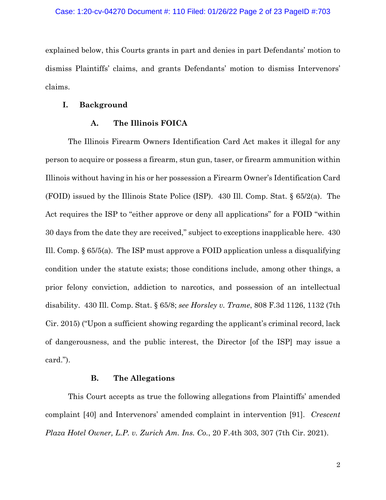explained below, this Courts grants in part and denies in part Defendants' motion to dismiss Plaintiffs' claims, and grants Defendants' motion to dismiss Intervenors' claims.

## **I. Background**

## **A. The Illinois FOICA**

The Illinois Firearm Owners Identification Card Act makes it illegal for any person to acquire or possess a firearm, stun gun, taser, or firearm ammunition within Illinois without having in his or her possession a Firearm Owner's Identification Card (FOID) issued by the Illinois State Police (ISP). 430 Ill. Comp. Stat. § 65/2(a). The Act requires the ISP to "either approve or deny all applications" for a FOID "within 30 days from the date they are received," subject to exceptions inapplicable here. 430 Ill. Comp. § 65/5(a). The ISP must approve a FOID application unless a disqualifying condition under the statute exists; those conditions include, among other things, a prior felony conviction, addiction to narcotics, and possession of an intellectual disability. 430 Ill. Comp. Stat. § 65/8; *see Horsley v. Trame*, 808 F.3d 1126, 1132 (7th Cir. 2015) ("Upon a sufficient showing regarding the applicant's criminal record, lack of dangerousness, and the public interest, the Director [of the ISP] may issue a card.").

# **B. The Allegations**

This Court accepts as true the following allegations from Plaintiffs' amended complaint [40] and Intervenors' amended complaint in intervention [91]. *Crescent Plaza Hotel Owner, L.P. v. Zurich Am. Ins. Co.*, 20 F.4th 303, 307 (7th Cir. 2021).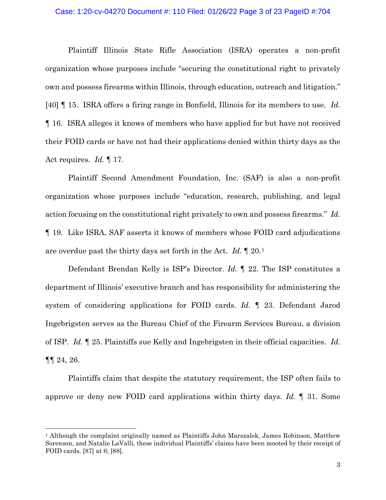## Case: 1:20-cv-04270 Document #: 110 Filed: 01/26/22 Page 3 of 23 PageID #:704

Plaintiff Illinois State Rifle Association (ISRA) operates a non-profit organization whose purposes include "securing the constitutional right to privately own and possess firearms within Illinois, through education, outreach and litigation." [40] ¶ 15. ISRA offers a firing range in Bonfield, Illinois for its members to use. *Id.* ¶ 16. ISRA alleges it knows of members who have applied for but have not received their FOID cards or have not had their applications denied within thirty days as the Act requires. *Id.* ¶ 17.

Plaintiff Second Amendment Foundation, Inc. (SAF) is also a non-profit organization whose purposes include "education, research, publishing, and legal action focusing on the constitutional right privately to own and possess firearms." *Id.* ¶ 19. Like ISRA, SAF asserts it knows of members whose FOID card adjudications are overdue past the thirty days set forth in the Act. *Id.* ¶ 20.[1](#page-2-0)

Defendant Brendan Kelly is ISP's Director. *Id.* ¶ 22. The ISP constitutes a department of Illinois' executive branch and has responsibility for administering the system of considering applications for FOID cards. *Id.* ¶ 23. Defendant Jarod Ingebrigsten serves as the Bureau Chief of the Firearm Services Bureau, a division of ISP. *Id.* ¶ 25. Plaintiffs sue Kelly and Ingebrigsten in their official capacities. *Id.*  $\P\P$  24, 26.

Plaintiffs claim that despite the statutory requirement, the ISP often fails to approve or deny new FOID card applications within thirty days. *Id.* ¶ 31. Some

<span id="page-2-0"></span><sup>1</sup> Although the complaint originally named as Plaintiffs John Marszalek, James Robinson, Matthew Sorenson, and Natalie LaValli, these individual Plaintiffs' claims have been mooted by their receipt of FOID cards. [87] at 6; [88].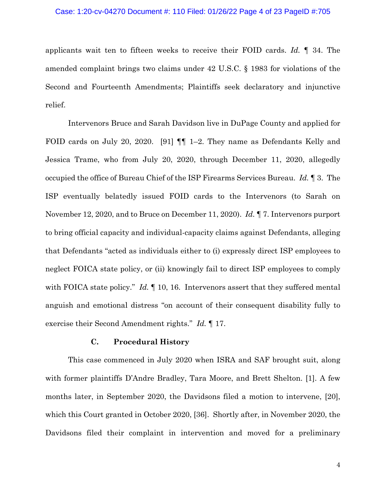#### Case: 1:20-cv-04270 Document #: 110 Filed: 01/26/22 Page 4 of 23 PageID #:705

applicants wait ten to fifteen weeks to receive their FOID cards. *Id.* ¶ 34. The amended complaint brings two claims under 42 U.S.C. § 1983 for violations of the Second and Fourteenth Amendments; Plaintiffs seek declaratory and injunctive relief.

Intervenors Bruce and Sarah Davidson live in DuPage County and applied for FOID cards on July 20, 2020. [91] ¶¶ 1–2. They name as Defendants Kelly and Jessica Trame, who from July 20, 2020, through December 11, 2020, allegedly occupied the office of Bureau Chief of the ISP Firearms Services Bureau. *Id.* ¶ 3. The ISP eventually belatedly issued FOID cards to the Intervenors (to Sarah on November 12, 2020, and to Bruce on December 11, 2020). *Id.* ¶ 7. Intervenors purport to bring official capacity and individual-capacity claims against Defendants, alleging that Defendants "acted as individuals either to (i) expressly direct ISP employees to neglect FOICA state policy, or (ii) knowingly fail to direct ISP employees to comply with FOICA state policy." *Id.* 10, 16. Intervenors assert that they suffered mental anguish and emotional distress "on account of their consequent disability fully to exercise their Second Amendment rights." *Id.* ¶ 17.

## **C. Procedural History**

This case commenced in July 2020 when ISRA and SAF brought suit, along with former plaintiffs D'Andre Bradley, Tara Moore, and Brett Shelton. [1]. A few months later, in September 2020, the Davidsons filed a motion to intervene, [20], which this Court granted in October 2020, [36]. Shortly after, in November 2020, the Davidsons filed their complaint in intervention and moved for a preliminary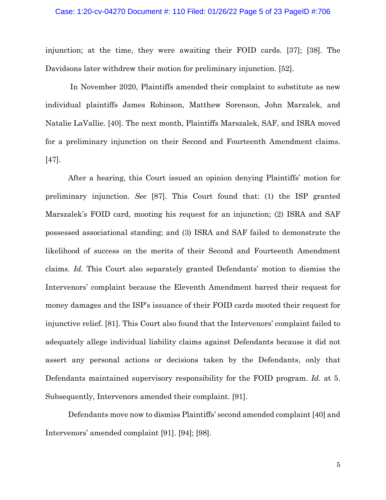# Case: 1:20-cv-04270 Document #: 110 Filed: 01/26/22 Page 5 of 23 PageID #:706

injunction; at the time, they were awaiting their FOID cards. [37]; [38]. The Davidsons later withdrew their motion for preliminary injunction. [52].

In November 2020, Plaintiffs amended their complaint to substitute as new individual plaintiffs James Robinson, Matthew Sorenson, John Marzalek, and Natalie LaVallie. [40]. The next month, Plaintiffs Marszalek, SAF, and ISRA moved for a preliminary injunction on their Second and Fourteenth Amendment claims. [47].

After a hearing, this Court issued an opinion denying Plaintiffs' motion for preliminary injunction. *See* [87]. This Court found that: (1) the ISP granted Marszalek's FOID card, mooting his request for an injunction; (2) ISRA and SAF possessed associational standing; and (3) ISRA and SAF failed to demonstrate the likelihood of success on the merits of their Second and Fourteenth Amendment claims. *Id.* This Court also separately granted Defendants' motion to dismiss the Intervenors' complaint because the Eleventh Amendment barred their request for money damages and the ISP's issuance of their FOID cards mooted their request for injunctive relief. [81]. This Court also found that the Intervenors' complaint failed to adequately allege individual liability claims against Defendants because it did not assert any personal actions or decisions taken by the Defendants, only that Defendants maintained supervisory responsibility for the FOID program. *Id.* at 5. Subsequently, Intervenors amended their complaint. [91].

Defendants move now to dismiss Plaintiffs' second amended complaint [40] and Intervenors' amended complaint [91]. [94]; [98].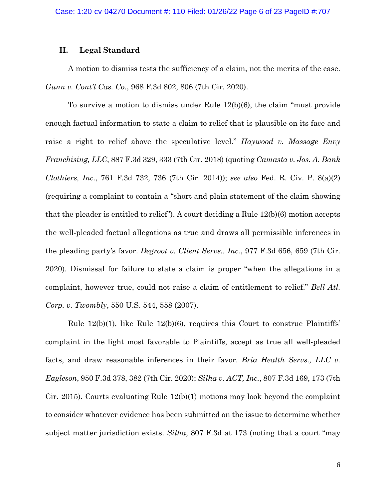## **II. Legal Standard**

A motion to dismiss tests the sufficiency of a claim, not the merits of the case. *Gunn v. Cont'l Cas. Co.*, 968 F.3d 802, 806 (7th Cir. 2020).

To survive a motion to dismiss under Rule 12(b)(6), the claim "must provide enough factual information to state a claim to relief that is plausible on its face and raise a right to relief above the speculative level." *Haywood v. Massage Envy Franchising, LLC*, 887 F.3d 329, 333 (7th Cir. 2018) (quoting *Camasta v. Jos. A. Bank Clothiers, Inc.*, 761 F.3d 732, 736 (7th Cir. 2014)); *see also* Fed. R. Civ. P. 8(a)(2) (requiring a complaint to contain a "short and plain statement of the claim showing that the pleader is entitled to relief"). A court deciding a Rule 12(b)(6) motion accepts the well-pleaded factual allegations as true and draws all permissible inferences in the pleading party's favor. *Degroot v. Client Servs., Inc.*, 977 F.3d 656, 659 (7th Cir. 2020). Dismissal for failure to state a claim is proper "when the allegations in a complaint, however true, could not raise a claim of entitlement to relief." *Bell Atl. Corp. v. Twombly*, 550 U.S. 544, 558 (2007).

Rule 12(b)(1), like Rule 12(b)(6), requires this Court to construe Plaintiffs' complaint in the light most favorable to Plaintiffs, accept as true all well-pleaded facts, and draw reasonable inferences in their favor. *Bria Health Servs., LLC v. Eagleson*, 950 F.3d 378, 382 (7th Cir. 2020); *Silha v. ACT, Inc.*, 807 F.3d 169, 173 (7th Cir. 2015). Courts evaluating Rule  $12(b)(1)$  motions may look beyond the complaint to consider whatever evidence has been submitted on the issue to determine whether subject matter jurisdiction exists. *Silha*, 807 F.3d at 173 (noting that a court "may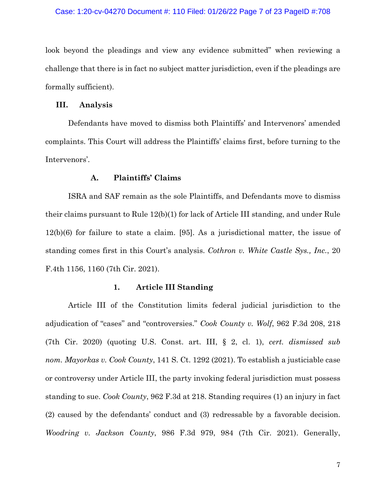look beyond the pleadings and view any evidence submitted" when reviewing a challenge that there is in fact no subject matter jurisdiction, even if the pleadings are formally sufficient).

## **III. Analysis**

Defendants have moved to dismiss both Plaintiffs' and Intervenors' amended complaints. This Court will address the Plaintiffs' claims first, before turning to the Intervenors'.

# **A. Plaintiffs' Claims**

ISRA and SAF remain as the sole Plaintiffs, and Defendants move to dismiss their claims pursuant to Rule 12(b)(1) for lack of Article III standing, and under Rule 12(b)(6) for failure to state a claim. [95]. As a jurisdictional matter, the issue of standing comes first in this Court's analysis. *Cothron v. White Castle Sys., Inc.*, 20 F.4th 1156, 1160 (7th Cir. 2021).

## **1. Article III Standing**

Article III of the Constitution limits federal judicial jurisdiction to the adjudication of "cases" and "controversies." *Cook County v. Wolf*, 962 F.3d 208, 218 (7th Cir. 2020) (quoting U.S. Const. art. III, § 2, cl. 1), *cert. dismissed sub nom. Mayorkas v. Cook County*, 141 S. Ct. 1292 (2021). To establish a justiciable case or controversy under Article III, the party invoking federal jurisdiction must possess standing to sue. *Cook County*, 962 F.3d at 218. Standing requires (1) an injury in fact (2) caused by the defendants' conduct and (3) redressable by a favorable decision. *Woodring v. Jackson County*, 986 F.3d 979, 984 (7th Cir. 2021). Generally,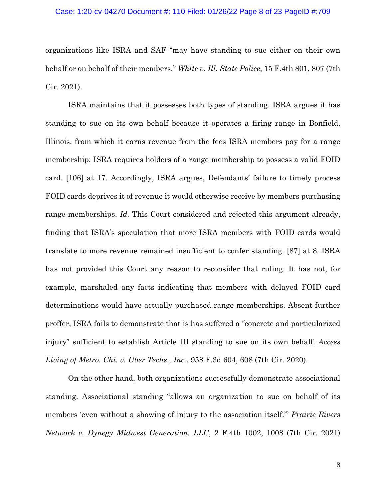#### Case: 1:20-cv-04270 Document #: 110 Filed: 01/26/22 Page 8 of 23 PageID #:709

organizations like ISRA and SAF "may have standing to sue either on their own behalf or on behalf of their members." *White v. Ill. State Police*, 15 F.4th 801, 807 (7th Cir. 2021).

ISRA maintains that it possesses both types of standing. ISRA argues it has standing to sue on its own behalf because it operates a firing range in Bonfield, Illinois, from which it earns revenue from the fees ISRA members pay for a range membership; ISRA requires holders of a range membership to possess a valid FOID card. [106] at 17. Accordingly, ISRA argues, Defendants' failure to timely process FOID cards deprives it of revenue it would otherwise receive by members purchasing range memberships. *Id.* This Court considered and rejected this argument already, finding that ISRA's speculation that more ISRA members with FOID cards would translate to more revenue remained insufficient to confer standing. [87] at 8. ISRA has not provided this Court any reason to reconsider that ruling. It has not, for example, marshaled any facts indicating that members with delayed FOID card determinations would have actually purchased range memberships. Absent further proffer, ISRA fails to demonstrate that is has suffered a "concrete and particularized injury" sufficient to establish Article III standing to sue on its own behalf. *Access Living of Metro. Chi. v. Uber Techs., Inc.*, 958 F.3d 604, 608 (7th Cir. 2020).

On the other hand, both organizations successfully demonstrate associational standing. Associational standing "allows an organization to sue on behalf of its members 'even without a showing of injury to the association itself.'" *Prairie Rivers Network v. Dynegy Midwest Generation, LLC*, 2 F.4th 1002, 1008 (7th Cir. 2021)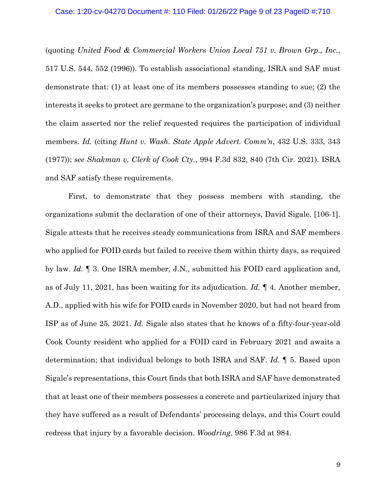(quoting *United Food & Commercial Workers Union Local 751 v. Brown Grp., Inc.*, 517 U.S. 544, 552 (1996)). To establish associational standing, ISRA and SAF must demonstrate that: (1) at least one of its members possesses standing to sue; (2) the interests it seeks to protect are germane to the organization's purpose; and (3) neither the claim asserted nor the relief requested requires the participation of individual members. *Id.* (citing *Hunt v. Wash. State Apple Advert. Comm'n*, 432 U.S. 333, 343 (1977)); *see Shakman v. Clerk of Cook Cty.*, 994 F.3d 832, 840 (7th Cir. 2021). ISRA and SAF satisfy these requirements.

First, to demonstrate that they possess members with standing, the organizations submit the declaration of one of their attorneys, David Sigale. [106-1]. Sigale attests that he receives steady communications from ISRA and SAF members who applied for FOID cards but failed to receive them within thirty days, as required by law. *Id.* ¶ 3. One ISRA member, J.N., submitted his FOID card application and, as of July 11, 2021, has been waiting for its adjudication. *Id.* ¶ 4. Another member, A.D., applied with his wife for FOID cards in November 2020, but had not heard from ISP as of June 25, 2021. *Id.* Sigale also states that he knows of a fifty-four-year-old Cook County resident who applied for a FOID card in February 2021 and awaits a determination; that individual belongs to both ISRA and SAF. *Id.* ¶ 5. Based upon Sigale's representations, this Court finds that both ISRA and SAF have demonstrated that at least one of their members possesses a concrete and particularized injury that they have suffered as a result of Defendants' processing delays, and this Court could redress that injury by a favorable decision. *Woodring*, 986 F.3d at 984.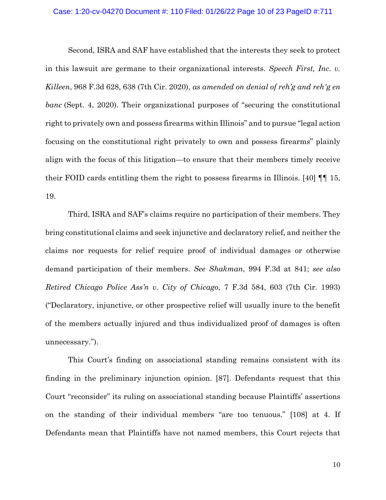#### Case: 1:20-cv-04270 Document #: 110 Filed: 01/26/22 Page 10 of 23 PageID #:711

Second, ISRA and SAF have established that the interests they seek to protect in this lawsuit are germane to their organizational interests. *Speech First, Inc. v. Killeen*, 968 F.3d 628, 638 (7th Cir. 2020), *as amended on denial of reh'g and reh'g en banc* (Sept. 4, 2020). Their organizational purposes of "securing the constitutional right to privately own and possess firearms within Illinois" and to pursue "legal action focusing on the constitutional right privately to own and possess firearms" plainly align with the focus of this litigation—to ensure that their members timely receive their FOID cards entitling them the right to possess firearms in Illinois. [40] ¶¶ 15, 19.

Third, ISRA and SAF's claims require no participation of their members. They bring constitutional claims and seek injunctive and declaratory relief, and neither the claims nor requests for relief require proof of individual damages or otherwise demand participation of their members. *See Shakman*, 994 F.3d at 841; *see also Retired Chicago Police Ass'n v. City of Chicago*, 7 F.3d 584, 603 (7th Cir. 1993) ("Declaratory, injunctive, or other prospective relief will usually inure to the benefit of the members actually injured and thus individualized proof of damages is often unnecessary.").

This Court's finding on associational standing remains consistent with its finding in the preliminary injunction opinion. [87]. Defendants request that this Court "reconsider" its ruling on associational standing because Plaintiffs' assertions on the standing of their individual members "are too tenuous." [108] at 4. If Defendants mean that Plaintiffs have not named members, this Court rejects that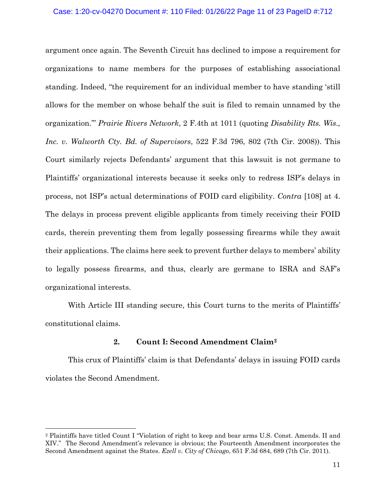#### Case: 1:20-cv-04270 Document #: 110 Filed: 01/26/22 Page 11 of 23 PageID #:712

argument once again. The Seventh Circuit has declined to impose a requirement for organizations to name members for the purposes of establishing associational standing. Indeed, "the requirement for an individual member to have standing 'still allows for the member on whose behalf the suit is filed to remain unnamed by the organization.'" *Prairie Rivers Network*, 2 F.4th at 1011 (quoting *Disability Rts. Wis., Inc. v. Walworth Cty. Bd. of Supervisors*, 522 F.3d 796, 802 (7th Cir. 2008)). This Court similarly rejects Defendants' argument that this lawsuit is not germane to Plaintiffs' organizational interests because it seeks only to redress ISP's delays in process, not ISP's actual determinations of FOID card eligibility. *Contra* [108] at 4. The delays in process prevent eligible applicants from timely receiving their FOID cards, therein preventing them from legally possessing firearms while they await their applications. The claims here seek to prevent further delays to members' ability to legally possess firearms, and thus, clearly are germane to ISRA and SAF's organizational interests.

With Article III standing secure, this Court turns to the merits of Plaintiffs' constitutional claims.

# **2. Count I: Second Amendment Claim[2](#page-10-0)**

This crux of Plaintiffs' claim is that Defendants' delays in issuing FOID cards violates the Second Amendment.

<span id="page-10-0"></span><sup>2</sup> Plaintiffs have titled Count I "Violation of right to keep and bear arms U.S. Const. Amends. II and XIV." The Second Amendment's relevance is obvious; the Fourteenth Amendment incorporates the Second Amendment against the States. *Ezell v. City of Chicago*, 651 F.3d 684, 689 (7th Cir. 2011).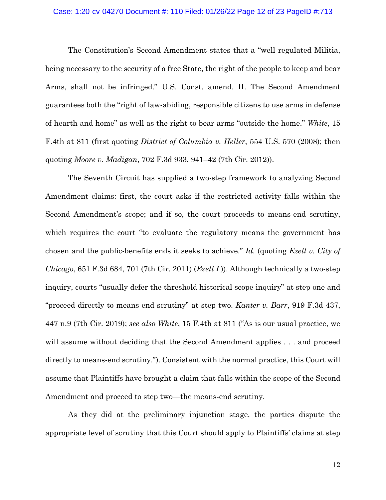## Case: 1:20-cv-04270 Document #: 110 Filed: 01/26/22 Page 12 of 23 PageID #:713

The Constitution's Second Amendment states that a "well regulated Militia, being necessary to the security of a free State, the right of the people to keep and bear Arms, shall not be infringed." U.S. Const. amend. II. The Second Amendment guarantees both the "right of law-abiding, responsible citizens to use arms in defense of hearth and home" as well as the right to bear arms "outside the home." *White*, 15 F.4th at 811 (first quoting *District of Columbia v. Heller*, 554 U.S. 570 (2008); then quoting *Moore v. Madigan*, 702 F.3d 933, 941–42 (7th Cir. 2012)).

The Seventh Circuit has supplied a two-step framework to analyzing Second Amendment claims: first, the court asks if the restricted activity falls within the Second Amendment's scope; and if so, the court proceeds to means-end scrutiny, which requires the court "to evaluate the regulatory means the government has chosen and the public-benefits ends it seeks to achieve." *Id.* (quoting *Ezell v. City of Chicago*, 651 F.3d 684, 701 (7th Cir. 2011) (*Ezell I* )). Although technically a two-step inquiry, courts "usually defer the threshold historical scope inquiry" at step one and "proceed directly to means-end scrutiny" at step two. *Kanter v. Barr*, 919 F.3d 437, 447 n.9 (7th Cir. 2019); *see also White*, 15 F.4th at 811 ("As is our usual practice, we will assume without deciding that the Second Amendment applies . . . and proceed directly to means-end scrutiny."). Consistent with the normal practice, this Court will assume that Plaintiffs have brought a claim that falls within the scope of the Second Amendment and proceed to step two—the means-end scrutiny.

As they did at the preliminary injunction stage, the parties dispute the appropriate level of scrutiny that this Court should apply to Plaintiffs' claims at step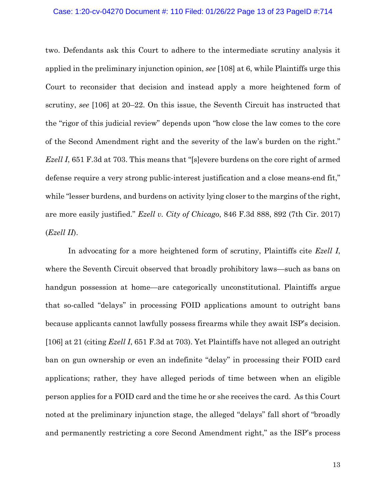## Case: 1:20-cv-04270 Document #: 110 Filed: 01/26/22 Page 13 of 23 PageID #:714

two. Defendants ask this Court to adhere to the intermediate scrutiny analysis it applied in the preliminary injunction opinion, *see* [108] at 6, while Plaintiffs urge this Court to reconsider that decision and instead apply a more heightened form of scrutiny, *see* [106] at 20–22. On this issue, the Seventh Circuit has instructed that the "rigor of this judicial review" depends upon "how close the law comes to the core of the Second Amendment right and the severity of the law's burden on the right." *Ezell I*, 651 F.3d at 703. This means that "[s]evere burdens on the core right of armed defense require a very strong public-interest justification and a close means-end fit," while "lesser burdens, and burdens on activity lying closer to the margins of the right, are more easily justified." *Ezell v. City of Chicago*, 846 F.3d 888, 892 (7th Cir. 2017) (*Ezell II*).

In advocating for a more heightened form of scrutiny, Plaintiffs cite *Ezell I*, where the Seventh Circuit observed that broadly prohibitory laws—such as bans on handgun possession at home—are categorically unconstitutional. Plaintiffs argue that so-called "delays" in processing FOID applications amount to outright bans because applicants cannot lawfully possess firearms while they await ISP's decision. [106] at 21 (citing *Ezell I*, 651 F.3d at 703). Yet Plaintiffs have not alleged an outright ban on gun ownership or even an indefinite "delay" in processing their FOID card applications; rather, they have alleged periods of time between when an eligible person applies for a FOID card and the time he or she receives the card. As this Court noted at the preliminary injunction stage, the alleged "delays" fall short of "broadly and permanently restricting a core Second Amendment right," as the ISP's process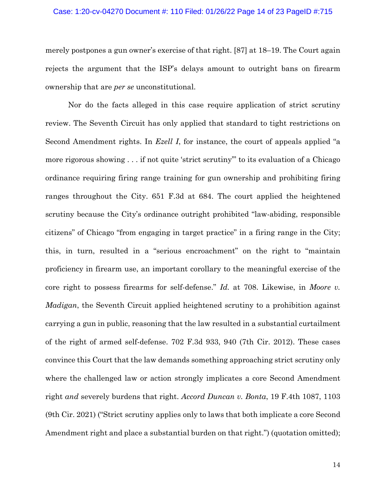### Case: 1:20-cv-04270 Document #: 110 Filed: 01/26/22 Page 14 of 23 PageID #:715

merely postpones a gun owner's exercise of that right. [87] at 18–19. The Court again rejects the argument that the ISP's delays amount to outright bans on firearm ownership that are *per se* unconstitutional.

Nor do the facts alleged in this case require application of strict scrutiny review. The Seventh Circuit has only applied that standard to tight restrictions on Second Amendment rights. In *Ezell I*, for instance, the court of appeals applied "a more rigorous showing . . . if not quite 'strict scrutiny'" to its evaluation of a Chicago ordinance requiring firing range training for gun ownership and prohibiting firing ranges throughout the City. 651 F.3d at 684. The court applied the heightened scrutiny because the City's ordinance outright prohibited "law-abiding, responsible citizens" of Chicago "from engaging in target practice" in a firing range in the City; this, in turn, resulted in a "serious encroachment" on the right to "maintain proficiency in firearm use, an important corollary to the meaningful exercise of the core right to possess firearms for self-defense." *Id.* at 708. Likewise, in *Moore v. Madigan*, the Seventh Circuit applied heightened scrutiny to a prohibition against carrying a gun in public, reasoning that the law resulted in a substantial curtailment of the right of armed self-defense. 702 F.3d 933, 940 (7th Cir. 2012). These cases convince this Court that the law demands something approaching strict scrutiny only where the challenged law or action strongly implicates a core Second Amendment right *and* severely burdens that right. *Accord Duncan v. Bonta*, 19 F.4th 1087, 1103 (9th Cir. 2021) ("Strict scrutiny applies only to laws that both implicate a core Second Amendment right and place a substantial burden on that right.") (quotation omitted);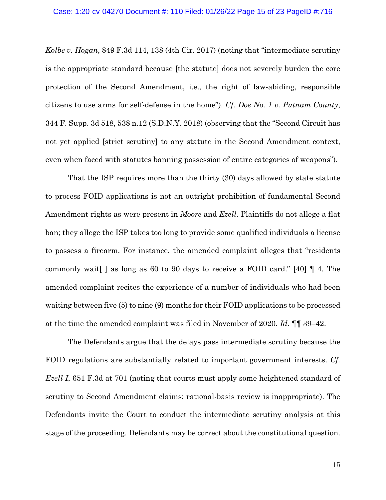*Kolbe v. Hogan*, 849 F.3d 114, 138 (4th Cir. 2017) (noting that "intermediate scrutiny is the appropriate standard because [the statute] does not severely burden the core protection of the Second Amendment, i.e., the right of law-abiding, responsible citizens to use arms for self-defense in the home"). *Cf. Doe No. 1 v. Putnam County*, 344 F. Supp. 3d 518, 538 n.12 (S.D.N.Y. 2018) (observing that the "Second Circuit has not yet applied [strict scrutiny] to any statute in the Second Amendment context, even when faced with statutes banning possession of entire categories of weapons").

That the ISP requires more than the thirty (30) days allowed by state statute to process FOID applications is not an outright prohibition of fundamental Second Amendment rights as were present in *Moore* and *Ezell*. Plaintiffs do not allege a flat ban; they allege the ISP takes too long to provide some qualified individuals a license to possess a firearm. For instance, the amended complaint alleges that "residents commonly wait[ ] as long as 60 to 90 days to receive a FOID card." [40] ¶ 4. The amended complaint recites the experience of a number of individuals who had been waiting between five (5) to nine (9) months for their FOID applications to be processed at the time the amended complaint was filed in November of 2020. *Id.* ¶¶ 39–42.

The Defendants argue that the delays pass intermediate scrutiny because the FOID regulations are substantially related to important government interests. *Cf. Ezell I*, 651 F.3d at 701 (noting that courts must apply some heightened standard of scrutiny to Second Amendment claims; rational-basis review is inappropriate). The Defendants invite the Court to conduct the intermediate scrutiny analysis at this stage of the proceeding. Defendants may be correct about the constitutional question.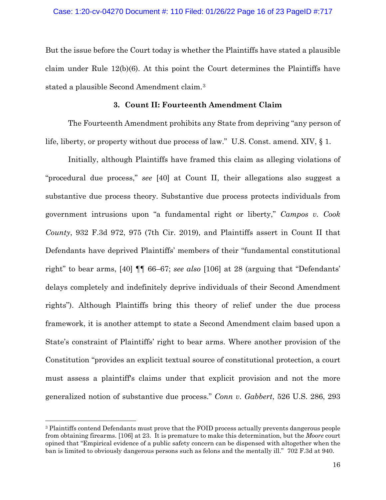But the issue before the Court today is whether the Plaintiffs have stated a plausible claim under Rule 12(b)(6). At this point the Court determines the Plaintiffs have stated a plausible Second Amendment claim.[3](#page-15-0)

# **3. Count II: Fourteenth Amendment Claim**

The Fourteenth Amendment prohibits any State from depriving "any person of life, liberty, or property without due process of law." U.S. Const. amend. XIV, § 1.

Initially, although Plaintiffs have framed this claim as alleging violations of "procedural due process," *see* [40] at Count II, their allegations also suggest a substantive due process theory. Substantive due process protects individuals from government intrusions upon "a fundamental right or liberty," *Campos v. Cook County*, 932 F.3d 972, 975 (7th Cir. 2019), and Plaintiffs assert in Count II that Defendants have deprived Plaintiffs' members of their "fundamental constitutional right" to bear arms, [40] ¶¶ 66–67; *see also* [106] at 28 (arguing that "Defendants' delays completely and indefinitely deprive individuals of their Second Amendment rights"). Although Plaintiffs bring this theory of relief under the due process framework, it is another attempt to state a Second Amendment claim based upon a State's constraint of Plaintiffs' right to bear arms. Where another provision of the Constitution "provides an explicit textual source of constitutional protection, a court must assess a plaintiff's claims under that explicit provision and not the more generalized notion of substantive due process." *Conn v. Gabbert*, 526 U.S. 286, 293

<span id="page-15-0"></span><sup>&</sup>lt;sup>3</sup> Plaintiffs contend Defendants must prove that the FOID process actually prevents dangerous people from obtaining firearms. [106] at 23. It is premature to make this determination, but the *Moore* court opined that "Empirical evidence of a public safety concern can be dispensed with altogether when the ban is limited to obviously dangerous persons such as felons and the mentally ill." 702 F.3d at 940.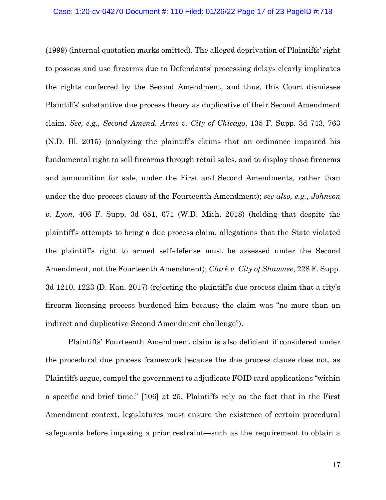(1999) (internal quotation marks omitted). The alleged deprivation of Plaintiffs' right to possess and use firearms due to Defendants' processing delays clearly implicates the rights conferred by the Second Amendment, and thus, this Court dismisses Plaintiffs' substantive due process theory as duplicative of their Second Amendment claim. *See, e.g.*, *Second Amend. Arms v. City of Chicago*, 135 F. Supp. 3d 743, 763 (N.D. Ill. 2015) (analyzing the plaintiff's claims that an ordinance impaired his fundamental right to sell firearms through retail sales, and to display those firearms and ammunition for sale, under the First and Second Amendments, rather than under the due process clause of the Fourteenth Amendment); *see also, e.g.*, *Johnson v. Lyon*, 406 F. Supp. 3d 651, 671 (W.D. Mich. 2018) (holding that despite the plaintiff's attempts to bring a due process claim, allegations that the State violated the plaintiff's right to armed self-defense must be assessed under the Second Amendment, not the Fourteenth Amendment); *Clark v. City of Shawnee*, 228 F. Supp. 3d 1210, 1223 (D. Kan. 2017) (rejecting the plaintiff's due process claim that a city's firearm licensing process burdened him because the claim was "no more than an indirect and duplicative Second Amendment challenge").

Plaintiffs' Fourteenth Amendment claim is also deficient if considered under the procedural due process framework because the due process clause does not, as Plaintiffs argue, compel the government to adjudicate FOID card applications "within a specific and brief time." [106] at 25. Plaintiffs rely on the fact that in the First Amendment context, legislatures must ensure the existence of certain procedural safeguards before imposing a prior restraint—such as the requirement to obtain a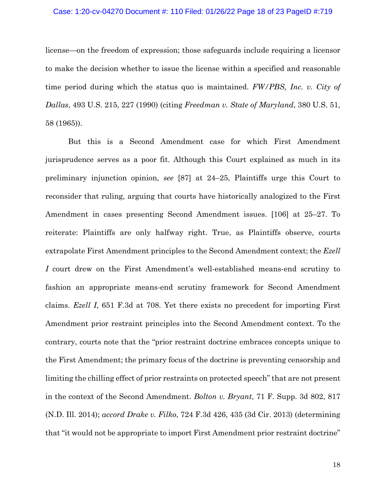## Case: 1:20-cv-04270 Document #: 110 Filed: 01/26/22 Page 18 of 23 PageID #:719

license—on the freedom of expression; those safeguards include requiring a licensor to make the decision whether to issue the license within a specified and reasonable time period during which the status quo is maintained. *FW/PBS, Inc. v. City of Dallas*, 493 U.S. 215, 227 (1990) (citing *Freedman v. State of Maryland*, 380 U.S. 51, 58 (1965)).

But this is a Second Amendment case for which First Amendment jurisprudence serves as a poor fit. Although this Court explained as much in its preliminary injunction opinion, *see* [87] at 24–25, Plaintiffs urge this Court to reconsider that ruling, arguing that courts have historically analogized to the First Amendment in cases presenting Second Amendment issues. [106] at 25–27. To reiterate: Plaintiffs are only halfway right. True, as Plaintiffs observe, courts extrapolate First Amendment principles to the Second Amendment context; the *Ezell I* court drew on the First Amendment's well-established means-end scrutiny to fashion an appropriate means-end scrutiny framework for Second Amendment claims. *Ezell I*, 651 F.3d at 708. Yet there exists no precedent for importing First Amendment prior restraint principles into the Second Amendment context. To the contrary, courts note that the "prior restraint doctrine embraces concepts unique to the First Amendment; the primary focus of the doctrine is preventing censorship and limiting the chilling effect of prior restraints on protected speech" that are not present in the context of the Second Amendment. *Bolton v. Bryant*, 71 F. Supp. 3d 802, 817 (N.D. Ill. 2014); *accord Drake v. Filko*, 724 F.3d 426, 435 (3d Cir. 2013) (determining that "it would not be appropriate to import First Amendment prior restraint doctrine"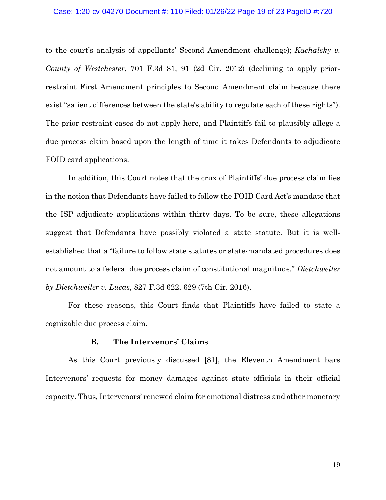#### Case: 1:20-cv-04270 Document #: 110 Filed: 01/26/22 Page 19 of 23 PageID #:720

to the court's analysis of appellants' Second Amendment challenge); *Kachalsky v. County of Westchester*, 701 F.3d 81, 91 (2d Cir. 2012) (declining to apply priorrestraint First Amendment principles to Second Amendment claim because there exist "salient differences between the state's ability to regulate each of these rights"). The prior restraint cases do not apply here, and Plaintiffs fail to plausibly allege a due process claim based upon the length of time it takes Defendants to adjudicate FOID card applications.

In addition, this Court notes that the crux of Plaintiffs' due process claim lies in the notion that Defendants have failed to follow the FOID Card Act's mandate that the ISP adjudicate applications within thirty days. To be sure, these allegations suggest that Defendants have possibly violated a state statute. But it is wellestablished that a "failure to follow state statutes or state-mandated procedures does not amount to a federal due process claim of constitutional magnitude." *Dietchweiler by Dietchweiler v. Lucas*, 827 F.3d 622, 629 (7th Cir. 2016).

For these reasons, this Court finds that Plaintiffs have failed to state a cognizable due process claim.

## **B. The Intervenors' Claims**

As this Court previously discussed [81], the Eleventh Amendment bars Intervenors' requests for money damages against state officials in their official capacity. Thus, Intervenors' renewed claim for emotional distress and other monetary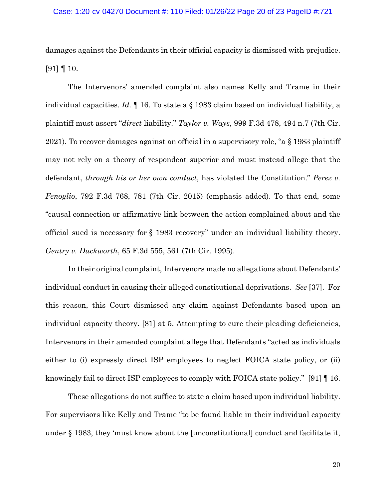damages against the Defendants in their official capacity is dismissed with prejudice. [91] ¶ 10.

The Intervenors' amended complaint also names Kelly and Trame in their individual capacities. *Id.* ¶ 16. To state a § 1983 claim based on individual liability, a plaintiff must assert "*direct* liability." *Taylor v. Ways*, 999 F.3d 478, 494 n.7 (7th Cir. 2021). To recover damages against an official in a supervisory role, "a § 1983 plaintiff may not rely on a theory of respondeat superior and must instead allege that the defendant, *through his or her own conduct*, has violated the Constitution." *Perez v. Fenoglio*, 792 F.3d 768, 781 (7th Cir. 2015) (emphasis added). To that end, some "causal connection or affirmative link between the action complained about and the official sued is necessary for § 1983 recovery" under an individual liability theory. *Gentry v. Duckworth*, 65 F.3d 555, 561 (7th Cir. 1995).

In their original complaint, Intervenors made no allegations about Defendants' individual conduct in causing their alleged constitutional deprivations. *See* [37]. For this reason, this Court dismissed any claim against Defendants based upon an individual capacity theory. [81] at 5. Attempting to cure their pleading deficiencies, Intervenors in their amended complaint allege that Defendants "acted as individuals either to (i) expressly direct ISP employees to neglect FOICA state policy, or (ii) knowingly fail to direct ISP employees to comply with FOICA state policy." [91] ¶ 16.

These allegations do not suffice to state a claim based upon individual liability. For supervisors like Kelly and Trame "to be found liable in their individual capacity under § 1983, they 'must know about the [unconstitutional] conduct and facilitate it,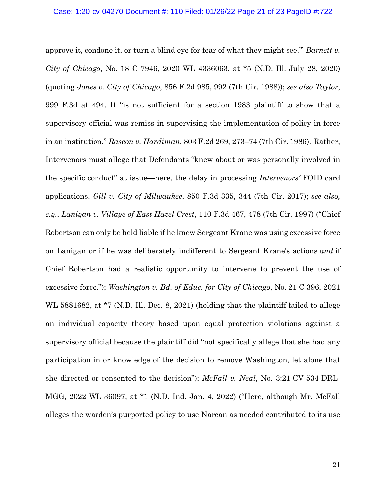approve it, condone it, or turn a blind eye for fear of what they might see.'" *Barnett v. City of Chicago*, No. 18 C 7946, 2020 WL 4336063, at \*5 (N.D. Ill. July 28, 2020) (quoting *Jones v. City of Chicago*, 856 F.2d 985, 992 (7th Cir. 1988)); *see also Taylor*, 999 F.3d at 494. It "is not sufficient for a section 1983 plaintiff to show that a supervisory official was remiss in supervising the implementation of policy in force in an institution." *Rascon v. Hardiman*, 803 F.2d 269, 273–74 (7th Cir. 1986). Rather, Intervenors must allege that Defendants "knew about or was personally involved in the specific conduct" at issue—here, the delay in processing *Intervenors'* FOID card applications. *Gill v. City of Milwaukee*, 850 F.3d 335, 344 (7th Cir. 2017); *see also, e.g.*, *Lanigan v. Village of East Hazel Crest*, 110 F.3d 467, 478 (7th Cir. 1997) ("Chief Robertson can only be held liable if he knew Sergeant Krane was using excessive force on Lanigan or if he was deliberately indifferent to Sergeant Krane's actions *and* if Chief Robertson had a realistic opportunity to intervene to prevent the use of excessive force."); *Washington v. Bd. of Educ. for City of Chicago*, No. 21 C 396, 2021 WL 5881682, at \*7 (N.D. Ill. Dec. 8, 2021) (holding that the plaintiff failed to allege an individual capacity theory based upon equal protection violations against a supervisory official because the plaintiff did "not specifically allege that she had any participation in or knowledge of the decision to remove Washington, let alone that she directed or consented to the decision"); *McFall v. Neal*, No. 3:21-CV-534-DRL-MGG, 2022 WL 36097, at \*1 (N.D. Ind. Jan. 4, 2022) ("Here, although Mr. McFall alleges the warden's purported policy to use Narcan as needed contributed to its use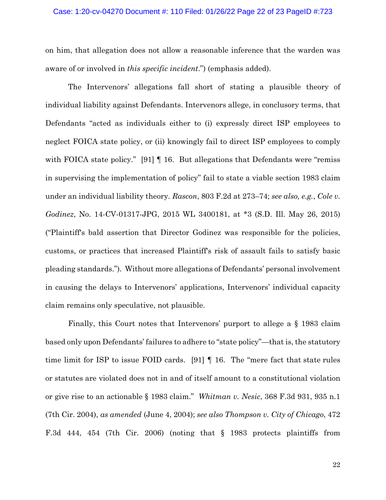on him, that allegation does not allow a reasonable inference that the warden was aware of or involved in *this specific incident*.") (emphasis added).

The Intervenors' allegations fall short of stating a plausible theory of individual liability against Defendants. Intervenors allege, in conclusory terms, that Defendants "acted as individuals either to (i) expressly direct ISP employees to neglect FOICA state policy, or (ii) knowingly fail to direct ISP employees to comply with FOICA state policy." [91] 16. But allegations that Defendants were "remiss" in supervising the implementation of policy" fail to state a viable section 1983 claim under an individual liability theory. *Rascon*, 803 F.2d at 273–74; *see also, e.g.*, *Cole v. Godinez*, No. 14-CV-01317-JPG, 2015 WL 3400181, at \*3 (S.D. Ill. May 26, 2015) ("Plaintiff's bald assertion that Director Godinez was responsible for the policies, customs, or practices that increased Plaintiff's risk of assault fails to satisfy basic pleading standards."). Without more allegations of Defendants' personal involvement in causing the delays to Intervenors' applications, Intervenors' individual capacity claim remains only speculative, not plausible.

Finally, this Court notes that Intervenors' purport to allege a § 1983 claim based only upon Defendants' failures to adhere to "state policy"—that is, the statutory time limit for ISP to issue FOID cards. [91] ¶ 16. The "mere fact that state rules or statutes are violated does not in and of itself amount to a constitutional violation or give rise to an actionable § 1983 claim." *Whitman v. Nesic*, 368 F.3d 931, 935 n.1 (7th Cir. 2004), *as amended* (June 4, 2004); *see also Thompson v. City of Chicago*, 472 F.3d 444, 454 (7th Cir. 2006) (noting that § 1983 protects plaintiffs from